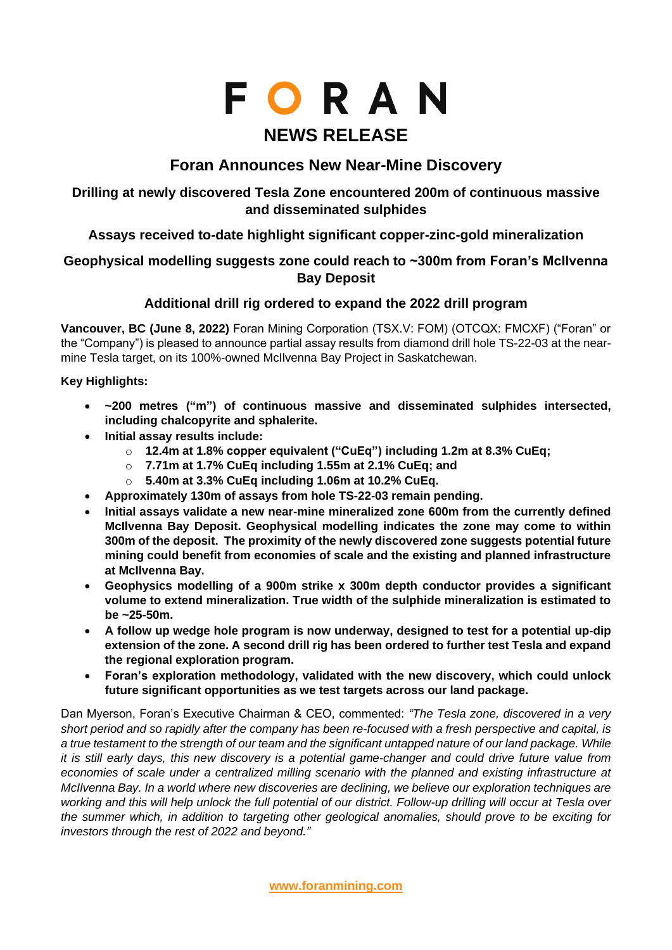# **FORAN NEWS RELEASE**

# **Foran Announces New Near-Mine Discovery**

# **Drilling at newly discovered Tesla Zone encountered 200m of continuous massive and disseminated sulphides**

# **Assays received to-date highlight significant copper-zinc-gold mineralization**

# **Geophysical modelling suggests zone could reach to ~300m from Foran's McIlvenna Bay Deposit**

# **Additional drill rig ordered to expand the 2022 drill program**

**Vancouver, BC (June 8, 2022)** Foran Mining Corporation (TSX.V: FOM) (OTCQX: FMCXF) ("Foran" or the "Company") is pleased to announce partial assay results from diamond drill hole TS-22-03 at the nearmine Tesla target, on its 100%-owned McIlvenna Bay Project in Saskatchewan.

## **Key Highlights:**

- **~200 metres ("m") of continuous massive and disseminated sulphides intersected, including chalcopyrite and sphalerite.**
- **Initial assay results include:** 
	- o **12.4m at 1.8% copper equivalent ("CuEq") including 1.2m at 8.3% CuEq;**
	- o **7.71m at 1.7% CuEq including 1.55m at 2.1% CuEq; and**
	- o **5.40m at 3.3% CuEq including 1.06m at 10.2% CuEq.**
- **Approximately 130m of assays from hole TS-22-03 remain pending.**
- **Initial assays validate a new near-mine mineralized zone 600m from the currently defined McIlvenna Bay Deposit. Geophysical modelling indicates the zone may come to within 300m of the deposit. The proximity of the newly discovered zone suggests potential future mining could benefit from economies of scale and the existing and planned infrastructure at McIlvenna Bay.**
- **Geophysics modelling of a 900m strike x 300m depth conductor provides a significant volume to extend mineralization. True width of the sulphide mineralization is estimated to be ~25-50m.**
- **A follow up wedge hole program is now underway, designed to test for a potential up-dip extension of the zone. A second drill rig has been ordered to further test Tesla and expand the regional exploration program.**
- **Foran's exploration methodology, validated with the new discovery, which could unlock future significant opportunities as we test targets across our land package.**

Dan Myerson, Foran's Executive Chairman & CEO, commented: *"The Tesla zone, discovered in a very short period and so rapidly after the company has been re-focused with a fresh perspective and capital, is a true testament to the strength of our team and the significant untapped nature of our land package. While it is still early days, this new discovery is a potential game-changer and could drive future value from economies of scale under a centralized milling scenario with the planned and existing infrastructure at McIlvenna Bay. In a world where new discoveries are declining, we believe our exploration techniques are working and this will help unlock the full potential of our district. Follow-up drilling will occur at Tesla over the summer which, in addition to targeting other geological anomalies, should prove to be exciting for investors through the rest of 2022 and beyond."*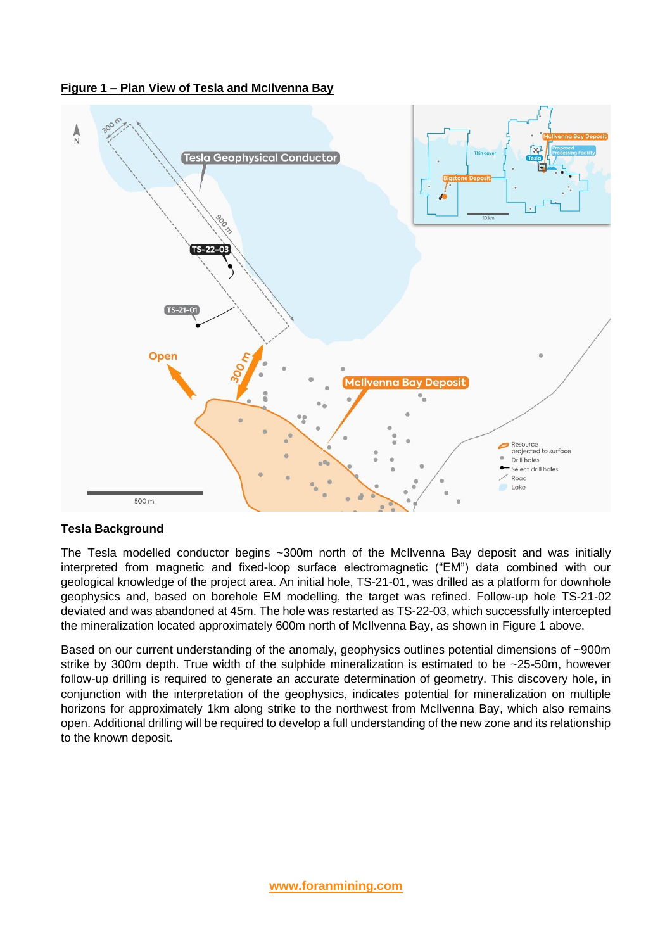**Figure 1 – Plan View of Tesla and McIlvenna Bay**



## **Tesla Background**

The Tesla modelled conductor begins ~300m north of the McIlvenna Bay deposit and was initially interpreted from magnetic and fixed-loop surface electromagnetic ("EM") data combined with our geological knowledge of the project area. An initial hole, TS-21-01, was drilled as a platform for downhole geophysics and, based on borehole EM modelling, the target was refined. Follow-up hole TS-21-02 deviated and was abandoned at 45m. The hole was restarted as TS-22-03, which successfully intercepted the mineralization located approximately 600m north of McIlvenna Bay, as shown in Figure 1 above.

Based on our current understanding of the anomaly, geophysics outlines potential dimensions of ~900m strike by 300m depth. True width of the sulphide mineralization is estimated to be  $\sim$ 25-50m, however follow-up drilling is required to generate an accurate determination of geometry. This discovery hole, in conjunction with the interpretation of the geophysics, indicates potential for mineralization on multiple horizons for approximately 1km along strike to the northwest from McIlvenna Bay, which also remains open. Additional drilling will be required to develop a full understanding of the new zone and its relationship to the known deposit.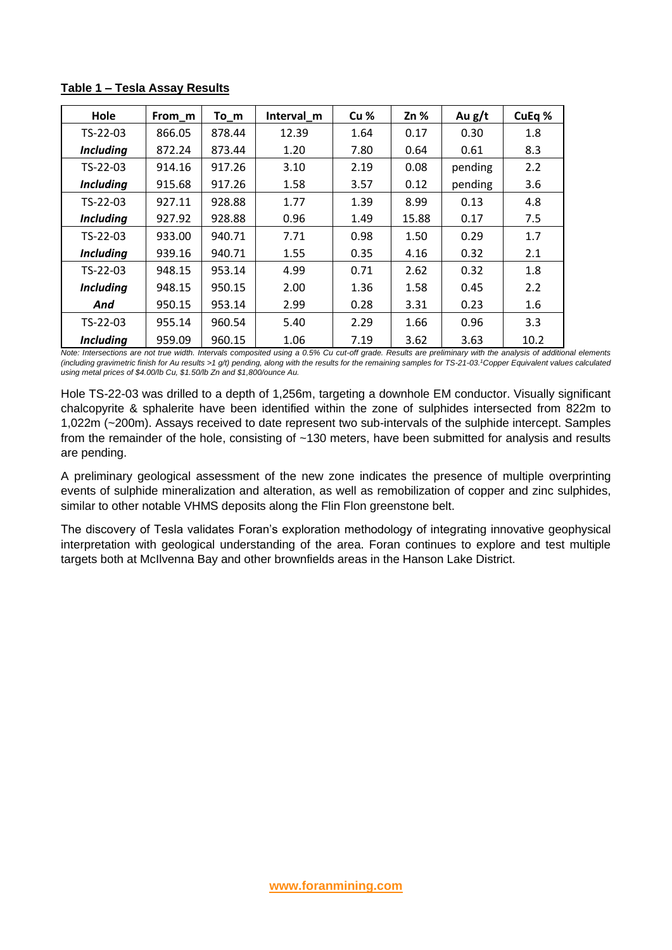| Hole             | From m | $To$ _m | Interval m | Cu <sub>%</sub> | $Zn$ % | Au $g/t$ | CuEq % |
|------------------|--------|---------|------------|-----------------|--------|----------|--------|
| TS-22-03         | 866.05 | 878.44  | 12.39      | 1.64            | 0.17   | 0.30     | 1.8    |
| <b>Including</b> | 872.24 | 873.44  | 1.20       | 7.80            | 0.64   | 0.61     | 8.3    |
| $TS-22-03$       | 914.16 | 917.26  | 3.10       | 2.19            | 0.08   | pending  | 2.2    |
| <b>Including</b> | 915.68 | 917.26  | 1.58       | 3.57            | 0.12   | pending  | 3.6    |
| $TS-22-03$       | 927.11 | 928.88  | 1.77       | 1.39            | 8.99   | 0.13     | 4.8    |
| <b>Including</b> | 927.92 | 928.88  | 0.96       | 1.49            | 15.88  | 0.17     | 7.5    |
| $TS-22-03$       | 933.00 | 940.71  | 7.71       | 0.98            | 1.50   | 0.29     | 1.7    |
| <b>Including</b> | 939.16 | 940.71  | 1.55       | 0.35            | 4.16   | 0.32     | 2.1    |
| $TS-22-03$       | 948.15 | 953.14  | 4.99       | 0.71            | 2.62   | 0.32     | 1.8    |
| <b>Including</b> | 948.15 | 950.15  | 2.00       | 1.36            | 1.58   | 0.45     | 2.2    |
| And              | 950.15 | 953.14  | 2.99       | 0.28            | 3.31   | 0.23     | 1.6    |
| $TS-22-03$       | 955.14 | 960.54  | 5.40       | 2.29            | 1.66   | 0.96     | 3.3    |
| <b>Including</b> | 959.09 | 960.15  | 1.06       | 7.19            | 3.62   | 3.63     | 10.2   |

#### **Table 1 – Tesla Assay Results**

*Note: Intersections are not true width. Intervals composited using a 0.5% Cu cut-off grade. Results are preliminary with the analysis of additional elements (including gravimetric finish for Au results >1 g/t) pending, along with the results for the remaining samples for TS-21-03.<sup>1</sup>Copper Equivalent values calculated using metal prices of \$4.00/lb Cu, \$1.50/lb Zn and \$1,800/ounce Au.* 

Hole TS-22-03 was drilled to a depth of 1,256m, targeting a downhole EM conductor. Visually significant chalcopyrite & sphalerite have been identified within the zone of sulphides intersected from 822m to 1,022m (~200m). Assays received to date represent two sub-intervals of the sulphide intercept. Samples from the remainder of the hole, consisting of ~130 meters, have been submitted for analysis and results are pending.

A preliminary geological assessment of the new zone indicates the presence of multiple overprinting events of sulphide mineralization and alteration, as well as remobilization of copper and zinc sulphides, similar to other notable VHMS deposits along the Flin Flon greenstone belt.

The discovery of Tesla validates Foran's exploration methodology of integrating innovative geophysical interpretation with geological understanding of the area. Foran continues to explore and test multiple targets both at McIlvenna Bay and other brownfields areas in the Hanson Lake District.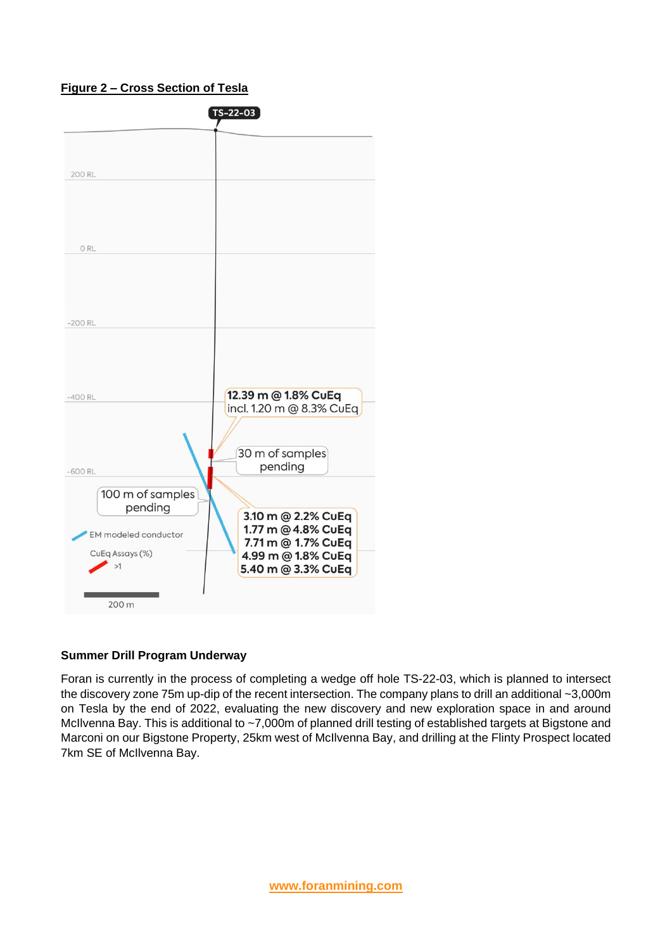## **Figure 2 – Cross Section of Tesla**



## **Summer Drill Program Underway**

Foran is currently in the process of completing a wedge off hole TS-22-03, which is planned to intersect the discovery zone 75m up-dip of the recent intersection. The company plans to drill an additional ~3,000m on Tesla by the end of 2022, evaluating the new discovery and new exploration space in and around McIlvenna Bay. This is additional to ~7,000m of planned drill testing of established targets at Bigstone and Marconi on our Bigstone Property, 25km west of McIlvenna Bay, and drilling at the Flinty Prospect located 7km SE of McIlvenna Bay.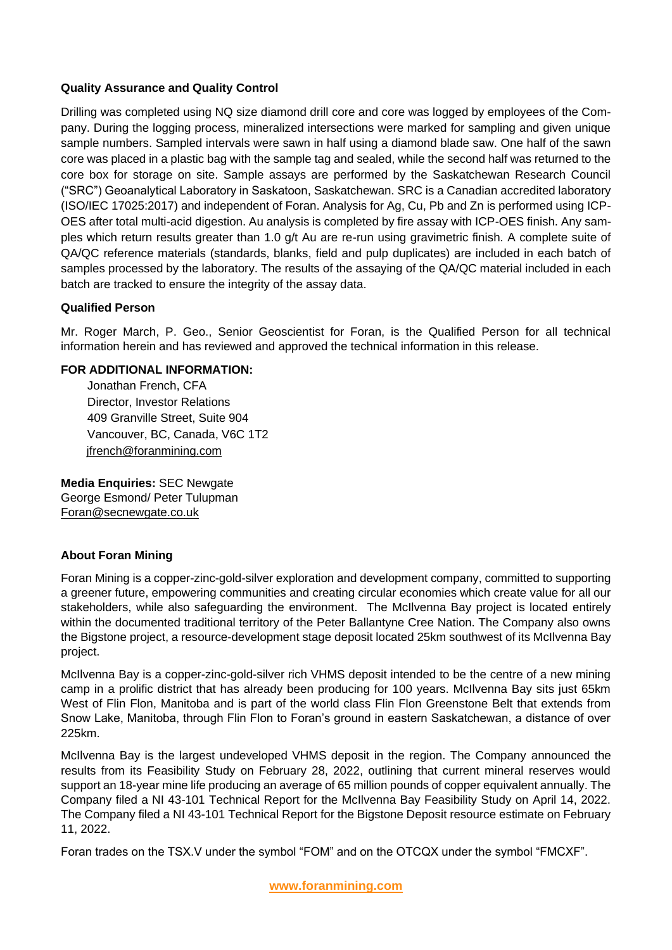## **Quality Assurance and Quality Control**

Drilling was completed using NQ size diamond drill core and core was logged by employees of the Company. During the logging process, mineralized intersections were marked for sampling and given unique sample numbers. Sampled intervals were sawn in half using a diamond blade saw. One half of the sawn core was placed in a plastic bag with the sample tag and sealed, while the second half was returned to the core box for storage on site. Sample assays are performed by the Saskatchewan Research Council ("SRC") Geoanalytical Laboratory in Saskatoon, Saskatchewan. SRC is a Canadian accredited laboratory (ISO/IEC 17025:2017) and independent of Foran. Analysis for Ag, Cu, Pb and Zn is performed using ICP-OES after total multi-acid digestion. Au analysis is completed by fire assay with ICP-OES finish. Any samples which return results greater than 1.0 g/t Au are re-run using gravimetric finish. A complete suite of QA/QC reference materials (standards, blanks, field and pulp duplicates) are included in each batch of samples processed by the laboratory. The results of the assaying of the QA/QC material included in each batch are tracked to ensure the integrity of the assay data.

### **Qualified Person**

Mr. Roger March, P. Geo., Senior Geoscientist for Foran, is the Qualified Person for all technical information herein and has reviewed and approved the technical information in this release.

#### **FOR ADDITIONAL INFORMATION:**

Jonathan French, CFA Director, Investor Relations 409 Granville Street, Suite 904 Vancouver, BC, Canada, V6C 1T2 [jfrench@foranmining.com](mailto:jfrench@foranmining.com)

Media **Media Enquiries:** SEC Newgate George Esmond/ Peter Tulupman [Foran@secnewgate.co.uk](mailto:Foran@secnewgate.co.uk)

#### **About Foran Mining**

Foran Mining is a copper-zinc-gold-silver exploration and development company, committed to supporting a greener future, empowering communities and creating circular economies which create value for all our stakeholders, while also safeguarding the environment. The McIlvenna Bay project is located entirely within the documented traditional territory of the Peter Ballantyne Cree Nation. The Company also owns the Bigstone project, a resource-development stage deposit located 25km southwest of its McIlvenna Bay project.

McIlvenna Bay is a copper-zinc-gold-silver rich VHMS deposit intended to be the centre of a new mining camp in a prolific district that has already been producing for 100 years. McIlvenna Bay sits just 65km West of Flin Flon, Manitoba and is part of the world class Flin Flon Greenstone Belt that extends from Snow Lake, Manitoba, through Flin Flon to Foran's ground in eastern Saskatchewan, a distance of over 225km.

McIlvenna Bay is the largest undeveloped VHMS deposit in the region. The Company announced the results from its Feasibility Study on February 28, 2022, outlining that current mineral reserves would support an 18-year mine life producing an average of 65 million pounds of copper equivalent annually. The Company filed a NI 43-101 Technical Report for the McIlvenna Bay Feasibility Study on April 14, 2022. The Company filed a NI 43-101 Technical Report for the Bigstone Deposit resource estimate on February 11, 2022.

Foran trades on the TSX.V under the symbol "FOM" and on the OTCQX under the symbol "FMCXF".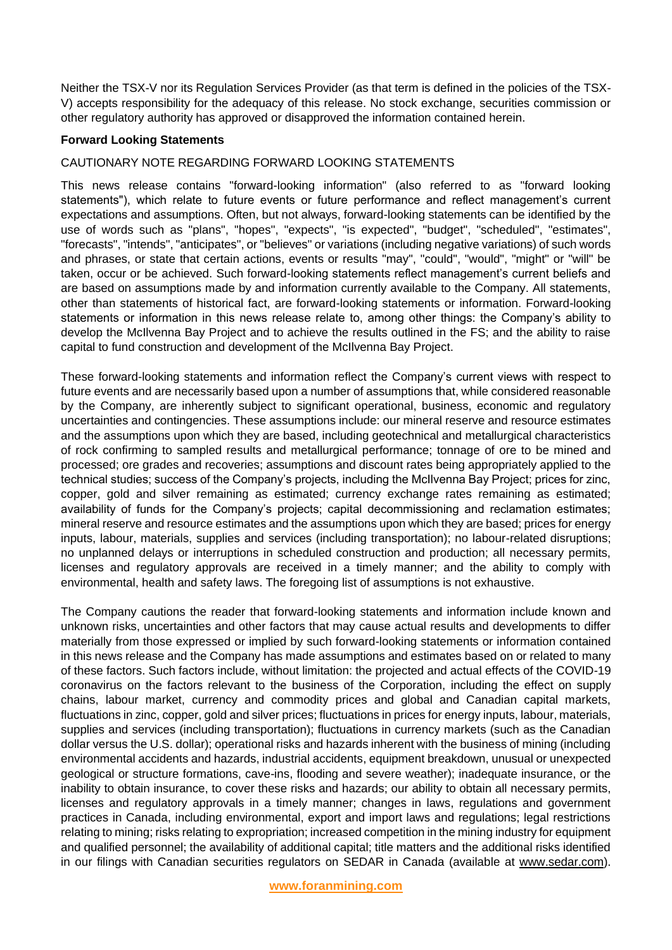Neither the TSX-V nor its Regulation Services Provider (as that term is defined in the policies of the TSX-V) accepts responsibility for the adequacy of this release. No stock exchange, securities commission or other regulatory authority has approved or disapproved the information contained herein.

#### **Forward Looking Statements**

### CAUTIONARY NOTE REGARDING FORWARD LOOKING STATEMENTS

This news release contains "forward-looking information" (also referred to as "forward looking statements"), which relate to future events or future performance and reflect management's current expectations and assumptions. Often, but not always, forward-looking statements can be identified by the use of words such as "plans", "hopes", "expects", "is expected", "budget", "scheduled", "estimates", "forecasts", "intends", "anticipates", or "believes" or variations (including negative variations) of such words and phrases, or state that certain actions, events or results "may", "could", "would", "might" or "will" be taken, occur or be achieved. Such forward-looking statements reflect management's current beliefs and are based on assumptions made by and information currently available to the Company. All statements, other than statements of historical fact, are forward-looking statements or information. Forward-looking statements or information in this news release relate to, among other things: the Company's ability to develop the McIlvenna Bay Project and to achieve the results outlined in the FS; and the ability to raise capital to fund construction and development of the McIlvenna Bay Project.

These forward-looking statements and information reflect the Company's current views with respect to future events and are necessarily based upon a number of assumptions that, while considered reasonable by the Company, are inherently subject to significant operational, business, economic and regulatory uncertainties and contingencies. These assumptions include: our mineral reserve and resource estimates and the assumptions upon which they are based, including geotechnical and metallurgical characteristics of rock confirming to sampled results and metallurgical performance; tonnage of ore to be mined and processed; ore grades and recoveries; assumptions and discount rates being appropriately applied to the technical studies; success of the Company's projects, including the McIlvenna Bay Project; prices for zinc, copper, gold and silver remaining as estimated; currency exchange rates remaining as estimated; availability of funds for the Company's projects; capital decommissioning and reclamation estimates; mineral reserve and resource estimates and the assumptions upon which they are based; prices for energy inputs, labour, materials, supplies and services (including transportation); no labour-related disruptions; no unplanned delays or interruptions in scheduled construction and production; all necessary permits, licenses and regulatory approvals are received in a timely manner; and the ability to comply with environmental, health and safety laws. The foregoing list of assumptions is not exhaustive.

The Company cautions the reader that forward-looking statements and information include known and unknown risks, uncertainties and other factors that may cause actual results and developments to differ materially from those expressed or implied by such forward-looking statements or information contained in this news release and the Company has made assumptions and estimates based on or related to many of these factors. Such factors include, without limitation: the projected and actual effects of the COVID-19 coronavirus on the factors relevant to the business of the Corporation, including the effect on supply chains, labour market, currency and commodity prices and global and Canadian capital markets, fluctuations in zinc, copper, gold and silver prices; fluctuations in prices for energy inputs, labour, materials, supplies and services (including transportation); fluctuations in currency markets (such as the Canadian dollar versus the U.S. dollar); operational risks and hazards inherent with the business of mining (including environmental accidents and hazards, industrial accidents, equipment breakdown, unusual or unexpected geological or structure formations, cave-ins, flooding and severe weather); inadequate insurance, or the inability to obtain insurance, to cover these risks and hazards; our ability to obtain all necessary permits, licenses and regulatory approvals in a timely manner; changes in laws, regulations and government practices in Canada, including environmental, export and import laws and regulations; legal restrictions relating to mining; risks relating to expropriation; increased competition in the mining industry for equipment and qualified personnel; the availability of additional capital; title matters and the additional risks identified in our filings with Canadian securities regulators on SEDAR in Canada (available at [www.sedar.com\)](http://www.sedar.com/).

**[www.foranmining.com](http://www.foranmining.com/)**